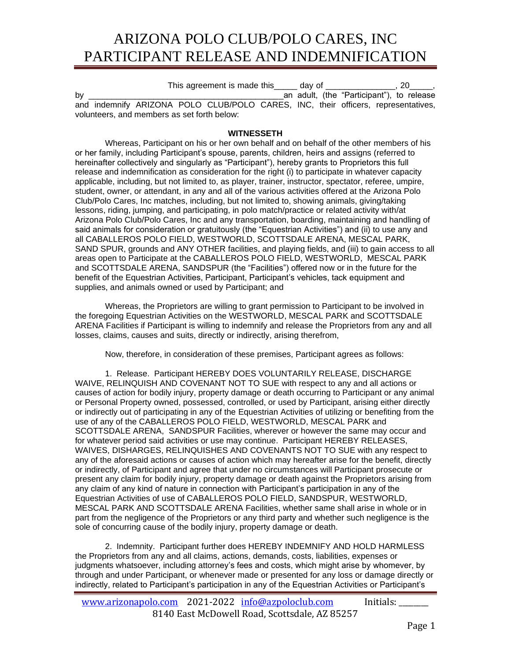## ARIZONA POLO CLUB/POLO CARES, INC PARTICIPANT RELEASE AND INDEMNIFICATION

This agreement is made this day of this agreement is made this day of by \_\_\_\_\_\_\_\_\_\_\_\_\_\_\_\_\_\_\_\_\_\_\_\_\_\_\_\_\_\_\_\_\_\_\_\_\_\_\_\_\_\_an adult, (the "Participant"), to release and indemnify ARIZONA POLO CLUB/POLO CARES, INC, their officers, representatives, volunteers, and members as set forth below:

## **WITNESSETH**

Whereas, Participant on his or her own behalf and on behalf of the other members of his or her family, including Participant's spouse, parents, children, heirs and assigns (referred to hereinafter collectively and singularly as "Participant"), hereby grants to Proprietors this full release and indemnification as consideration for the right (i) to participate in whatever capacity applicable, including, but not limited to, as player, trainer, instructor, spectator, referee, umpire, student, owner, or attendant, in any and all of the various activities offered at the Arizona Polo Club/Polo Cares, Inc matches, including, but not limited to, showing animals, giving/taking lessons, riding, jumping, and participating, in polo match/practice or related activity with/at Arizona Polo Club/Polo Cares, Inc and any transportation, boarding, maintaining and handling of said animals for consideration or gratuitously (the "Equestrian Activities") and (ii) to use any and all CABALLEROS POLO FIELD, WESTWORLD, SCOTTSDALE ARENA, MESCAL PARK, SAND SPUR, grounds and ANY OTHER facilities, and playing fields, and (iii) to gain access to all areas open to Participate at the CABALLEROS POLO FIELD, WESTWORLD, MESCAL PARK and SCOTTSDALE ARENA, SANDSPUR (the "Facilities") offered now or in the future for the benefit of the Equestrian Activities, Participant, Participant's vehicles, tack equipment and supplies, and animals owned or used by Participant; and

Whereas, the Proprietors are willing to grant permission to Participant to be involved in the foregoing Equestrian Activities on the WESTWORLD, MESCAL PARK and SCOTTSDALE ARENA Facilities if Participant is willing to indemnify and release the Proprietors from any and all losses, claims, causes and suits, directly or indirectly, arising therefrom,

Now, therefore, in consideration of these premises, Participant agrees as follows:

1. Release. Participant HEREBY DOES VOLUNTARILY RELEASE, DISCHARGE WAIVE, RELINQUISH AND COVENANT NOT TO SUE with respect to any and all actions or causes of action for bodily injury, property damage or death occurring to Participant or any animal or Personal Property owned, possessed, controlled, or used by Participant, arising either directly or indirectly out of participating in any of the Equestrian Activities of utilizing or benefiting from the use of any of the CABALLEROS POLO FIELD, WESTWORLD, MESCAL PARK and SCOTTSDALE ARENA, SANDSPUR Facilities, wherever or however the same may occur and for whatever period said activities or use may continue. Participant HEREBY RELEASES, WAIVES, DISHARGES, RELINQUISHES AND COVENANTS NOT TO SUE with any respect to any of the aforesaid actions or causes of action which may hereafter arise for the benefit, directly or indirectly, of Participant and agree that under no circumstances will Participant prosecute or present any claim for bodily injury, property damage or death against the Proprietors arising from any claim of any kind of nature in connection with Participant's participation in any of the Equestrian Activities of use of CABALLEROS POLO FIELD, SANDSPUR, WESTWORLD, MESCAL PARK AND SCOTTSDALE ARENA Facilities, whether same shall arise in whole or in part from the negligence of the Proprietors or any third party and whether such negligence is the sole of concurring cause of the bodily injury, property damage or death.

2. Indemnity. Participant further does HEREBY INDEMNIFY AND HOLD HARMLESS the Proprietors from any and all claims, actions, demands, costs, liabilities, expenses or judgments whatsoever, including attorney's fees and costs, which might arise by whomever, by through and under Participant, or whenever made or presented for any loss or damage directly or indirectly, related to Participant's participation in any of the Equestrian Activities or Participant's

[www.arizonapolo.com](http://www.arizonapolo.com/) 2021-2022 [info@azpoloclub.com](mailto:info@azpoloclub.com) Initials: 8140 East McDowell Road, Scottsdale, AZ 85257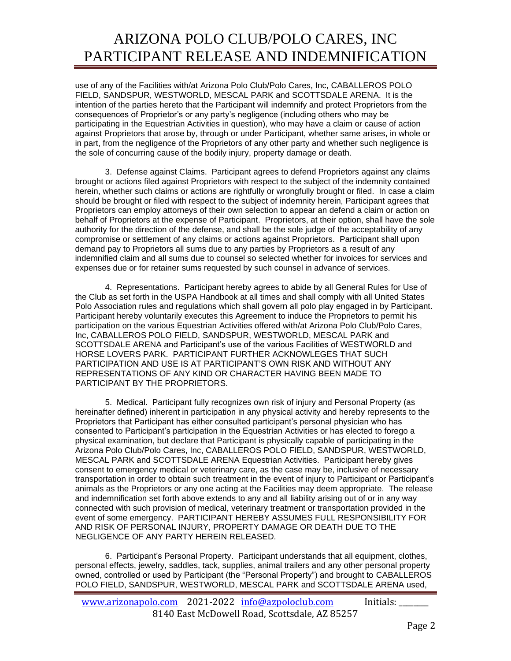## ARIZONA POLO CLUB/POLO CARES, INC PARTICIPANT RELEASE AND INDEMNIFICATION

use of any of the Facilities with/at Arizona Polo Club/Polo Cares, Inc, CABALLEROS POLO FIELD, SANDSPUR, WESTWORLD, MESCAL PARK and SCOTTSDALE ARENA. It is the intention of the parties hereto that the Participant will indemnify and protect Proprietors from the consequences of Proprietor's or any party's negligence (including others who may be participating in the Equestrian Activities in question), who may have a claim or cause of action against Proprietors that arose by, through or under Participant, whether same arises, in whole or in part, from the negligence of the Proprietors of any other party and whether such negligence is the sole of concurring cause of the bodily injury, property damage or death.

3. Defense against Claims. Participant agrees to defend Proprietors against any claims brought or actions filed against Proprietors with respect to the subject of the indemnity contained herein, whether such claims or actions are rightfully or wrongfully brought or filed. In case a claim should be brought or filed with respect to the subject of indemnity herein, Participant agrees that Proprietors can employ attorneys of their own selection to appear an defend a claim or action on behalf of Proprietors at the expense of Participant. Proprietors, at their option, shall have the sole authority for the direction of the defense, and shall be the sole judge of the acceptability of any compromise or settlement of any claims or actions against Proprietors. Participant shall upon demand pay to Proprietors all sums due to any parties by Proprietors as a result of any indemnified claim and all sums due to counsel so selected whether for invoices for services and expenses due or for retainer sums requested by such counsel in advance of services.

4. Representations. Participant hereby agrees to abide by all General Rules for Use of the Club as set forth in the USPA Handbook at all times and shall comply with all United States Polo Association rules and regulations which shall govern all polo play engaged in by Participant. Participant hereby voluntarily executes this Agreement to induce the Proprietors to permit his participation on the various Equestrian Activities offered with/at Arizona Polo Club/Polo Cares, Inc, CABALLEROS POLO FIELD, SANDSPUR, WESTWORLD, MESCAL PARK and SCOTTSDALE ARENA and Participant's use of the various Facilities of WESTWORLD and HORSE LOVERS PARK. PARTICIPANT FURTHER ACKNOWLEGES THAT SUCH PARTICIPATION AND USE IS AT PARTICIPANT'S OWN RISK AND WITHOUT ANY REPRESENTATIONS OF ANY KIND OR CHARACTER HAVING BEEN MADE TO PARTICIPANT BY THE PROPRIETORS.

5. Medical. Participant fully recognizes own risk of injury and Personal Property (as hereinafter defined) inherent in participation in any physical activity and hereby represents to the Proprietors that Participant has either consulted participant's personal physician who has consented to Participant's participation in the Equestrian Activities or has elected to forego a physical examination, but declare that Participant is physically capable of participating in the Arizona Polo Club/Polo Cares, Inc, CABALLEROS POLO FIELD, SANDSPUR, WESTWORLD, MESCAL PARK and SCOTTSDALE ARENA Equestrian Activities. Participant hereby gives consent to emergency medical or veterinary care, as the case may be, inclusive of necessary transportation in order to obtain such treatment in the event of injury to Participant or Participant's animals as the Proprietors or any one acting at the Facilities may deem appropriate. The release and indemnification set forth above extends to any and all liability arising out of or in any way connected with such provision of medical, veterinary treatment or transportation provided in the event of some emergency. PARTICIPANT HEREBY ASSUMES FULL RESPONSIBILITY FOR AND RISK OF PERSONAL INJURY, PROPERTY DAMAGE OR DEATH DUE TO THE NEGLIGENCE OF ANY PARTY HEREIN RELEASED.

6. Participant's Personal Property. Participant understands that all equipment, clothes, personal effects, jewelry, saddles, tack, supplies, animal trailers and any other personal property owned, controlled or used by Participant (the "Personal Property") and brought to CABALLEROS POLO FIELD, SANDSPUR, WESTWORLD, MESCAL PARK and SCOTTSDALE ARENA used,

[www.arizonapolo.com](http://www.arizonapolo.com/) 2021-2022 [info@azpoloclub.com](mailto:info@azpoloclub.com) Initials: 8140 East McDowell Road, Scottsdale, AZ 85257